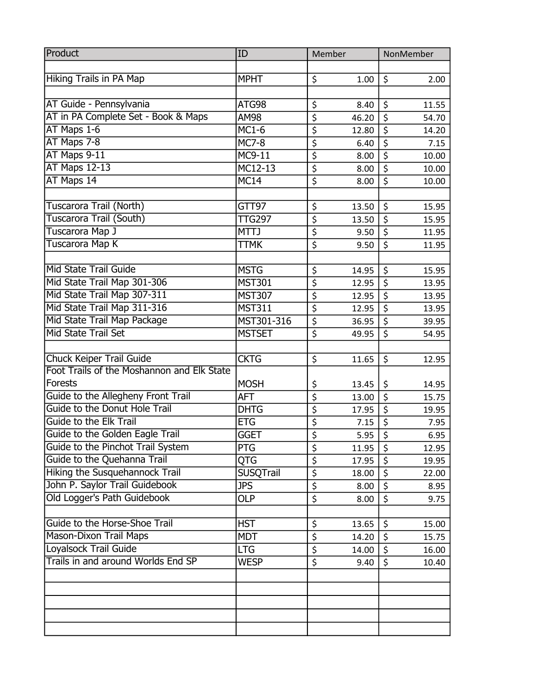| <b>Hiking Trails in PA Map</b><br>\$<br>\$<br><b>MPHT</b><br>1.00<br>2.00<br>AT Guide - Pennsylvania<br>ATG98<br>\$<br>\$<br>11.55<br>8.40<br>AT in PA Complete Set - Book & Maps<br>$\overline{\xi}$<br>\$<br>AM98<br>46.20<br>54.70<br>\$<br>AT Maps 1-6<br>$\overline{\xi}$<br><b>MC1-6</b><br>12.80<br>14.20<br>\$<br>AT Maps 7-8<br>\$<br><b>MC7-8</b><br>6.40<br>7.15<br>AT Maps 9-11<br>$\overline{\xi}$<br>MC9-11<br>$\overline{\boldsymbol{\zeta}}$<br>8.00<br>10.00<br><b>AT Maps 12-13</b><br>$\overline{\boldsymbol{\varsigma}}$<br>MC12-13<br>\$<br>8.00<br>10.00<br>AT Maps 14<br>$\overline{\boldsymbol{\zeta}}$<br>\$<br><b>MC14</b><br>8.00<br>10.00<br>Tuscarora Trail (North)<br>GTT97<br>\$<br>\$<br>13.50<br>15.95<br>$\overline{\boldsymbol{\zeta}}$<br>Tuscarora Trail (South)<br>\$<br><b>TTG297</b><br>15.95<br>13.50<br>$\overline{\boldsymbol{\varsigma}}$<br>Tuscarora Map J<br>\$<br><b>MTTJ</b><br>9.50<br>11.95<br>$\overline{\boldsymbol{\varsigma}}$<br>Tuscarora Map K<br>$\overline{\mathsf{S}}$<br><b>TTMK</b><br>9.50<br>11.95<br><b>Mid State Trail Guide</b> |
|-----------------------------------------------------------------------------------------------------------------------------------------------------------------------------------------------------------------------------------------------------------------------------------------------------------------------------------------------------------------------------------------------------------------------------------------------------------------------------------------------------------------------------------------------------------------------------------------------------------------------------------------------------------------------------------------------------------------------------------------------------------------------------------------------------------------------------------------------------------------------------------------------------------------------------------------------------------------------------------------------------------------------------------------------------------------------------------------------------|
|                                                                                                                                                                                                                                                                                                                                                                                                                                                                                                                                                                                                                                                                                                                                                                                                                                                                                                                                                                                                                                                                                                     |
|                                                                                                                                                                                                                                                                                                                                                                                                                                                                                                                                                                                                                                                                                                                                                                                                                                                                                                                                                                                                                                                                                                     |
|                                                                                                                                                                                                                                                                                                                                                                                                                                                                                                                                                                                                                                                                                                                                                                                                                                                                                                                                                                                                                                                                                                     |
|                                                                                                                                                                                                                                                                                                                                                                                                                                                                                                                                                                                                                                                                                                                                                                                                                                                                                                                                                                                                                                                                                                     |
|                                                                                                                                                                                                                                                                                                                                                                                                                                                                                                                                                                                                                                                                                                                                                                                                                                                                                                                                                                                                                                                                                                     |
|                                                                                                                                                                                                                                                                                                                                                                                                                                                                                                                                                                                                                                                                                                                                                                                                                                                                                                                                                                                                                                                                                                     |
|                                                                                                                                                                                                                                                                                                                                                                                                                                                                                                                                                                                                                                                                                                                                                                                                                                                                                                                                                                                                                                                                                                     |
|                                                                                                                                                                                                                                                                                                                                                                                                                                                                                                                                                                                                                                                                                                                                                                                                                                                                                                                                                                                                                                                                                                     |
|                                                                                                                                                                                                                                                                                                                                                                                                                                                                                                                                                                                                                                                                                                                                                                                                                                                                                                                                                                                                                                                                                                     |
|                                                                                                                                                                                                                                                                                                                                                                                                                                                                                                                                                                                                                                                                                                                                                                                                                                                                                                                                                                                                                                                                                                     |
|                                                                                                                                                                                                                                                                                                                                                                                                                                                                                                                                                                                                                                                                                                                                                                                                                                                                                                                                                                                                                                                                                                     |
|                                                                                                                                                                                                                                                                                                                                                                                                                                                                                                                                                                                                                                                                                                                                                                                                                                                                                                                                                                                                                                                                                                     |
|                                                                                                                                                                                                                                                                                                                                                                                                                                                                                                                                                                                                                                                                                                                                                                                                                                                                                                                                                                                                                                                                                                     |
|                                                                                                                                                                                                                                                                                                                                                                                                                                                                                                                                                                                                                                                                                                                                                                                                                                                                                                                                                                                                                                                                                                     |
|                                                                                                                                                                                                                                                                                                                                                                                                                                                                                                                                                                                                                                                                                                                                                                                                                                                                                                                                                                                                                                                                                                     |
|                                                                                                                                                                                                                                                                                                                                                                                                                                                                                                                                                                                                                                                                                                                                                                                                                                                                                                                                                                                                                                                                                                     |
| <b>MSTG</b><br>\$<br>\$<br>14.95<br>15.95                                                                                                                                                                                                                                                                                                                                                                                                                                                                                                                                                                                                                                                                                                                                                                                                                                                                                                                                                                                                                                                           |
| $\overline{\boldsymbol{\varsigma}}$<br>Mid State Trail Map 301-306<br>$\overline{\xi}$<br><b>MST301</b><br>12.95<br>13.95                                                                                                                                                                                                                                                                                                                                                                                                                                                                                                                                                                                                                                                                                                                                                                                                                                                                                                                                                                           |
| Mid State Trail Map 307-311<br>$\overline{\boldsymbol{\varsigma}}$<br>\$<br><b>MST307</b><br>12.95<br>13.95                                                                                                                                                                                                                                                                                                                                                                                                                                                                                                                                                                                                                                                                                                                                                                                                                                                                                                                                                                                         |
| Mid State Trail Map 311-316<br>$\overline{\varsigma}$<br>$\overline{\xi}$<br><b>MST311</b><br>12.95<br>13.95                                                                                                                                                                                                                                                                                                                                                                                                                                                                                                                                                                                                                                                                                                                                                                                                                                                                                                                                                                                        |
| Mid State Trail Map Package<br>$\overline{\boldsymbol{\zeta}}$<br>MST301-316<br>\$<br>36.95<br>39.95                                                                                                                                                                                                                                                                                                                                                                                                                                                                                                                                                                                                                                                                                                                                                                                                                                                                                                                                                                                                |
| $\overline{\boldsymbol{\varsigma}}$<br><b>Mid State Trail Set</b><br>$\overline{\mathsf{S}}$<br><b>MSTSET</b><br>49.95<br>54.95                                                                                                                                                                                                                                                                                                                                                                                                                                                                                                                                                                                                                                                                                                                                                                                                                                                                                                                                                                     |
|                                                                                                                                                                                                                                                                                                                                                                                                                                                                                                                                                                                                                                                                                                                                                                                                                                                                                                                                                                                                                                                                                                     |
| <b>Chuck Keiper Trail Guide</b><br>\$<br><b>CKTG</b><br>\$<br>11.65<br>12.95                                                                                                                                                                                                                                                                                                                                                                                                                                                                                                                                                                                                                                                                                                                                                                                                                                                                                                                                                                                                                        |
| Foot Trails of the Moshannon and Elk State                                                                                                                                                                                                                                                                                                                                                                                                                                                                                                                                                                                                                                                                                                                                                                                                                                                                                                                                                                                                                                                          |
| <b>Forests</b><br><b>MOSH</b><br>\$<br>13.45<br>\$<br>14.95                                                                                                                                                                                                                                                                                                                                                                                                                                                                                                                                                                                                                                                                                                                                                                                                                                                                                                                                                                                                                                         |
| \$<br>Guide to the Allegheny Front Trail<br>$\overline{\mathsf{S}}$<br><b>AFT</b><br>15.75<br>13.00                                                                                                                                                                                                                                                                                                                                                                                                                                                                                                                                                                                                                                                                                                                                                                                                                                                                                                                                                                                                 |
| Guide to the Donut Hole Trail<br>$\overline{\xi}$<br>$\overline{\xi}$<br><b>DHTG</b><br>17.95<br>19.95                                                                                                                                                                                                                                                                                                                                                                                                                                                                                                                                                                                                                                                                                                                                                                                                                                                                                                                                                                                              |
| $\overline{\xi}$<br><b>Guide to the Elk Trail</b><br>\$<br><b>ETG</b><br>7.15<br>7.95                                                                                                                                                                                                                                                                                                                                                                                                                                                                                                                                                                                                                                                                                                                                                                                                                                                                                                                                                                                                               |
| $\overline{\varsigma}$<br>Guide to the Golden Eagle Trail<br>$\overline{\xi}$<br><b>GGET</b><br>5.95<br>6.95                                                                                                                                                                                                                                                                                                                                                                                                                                                                                                                                                                                                                                                                                                                                                                                                                                                                                                                                                                                        |
| Guide to the Pinchot Trail System<br>\$<br>PTG<br>\$<br>11.95<br>12.95                                                                                                                                                                                                                                                                                                                                                                                                                                                                                                                                                                                                                                                                                                                                                                                                                                                                                                                                                                                                                              |
| Guide to the Quehanna Trail<br>$\overline{\boldsymbol{\zeta}}$<br>QTG<br>\$<br>17.95<br>19.95                                                                                                                                                                                                                                                                                                                                                                                                                                                                                                                                                                                                                                                                                                                                                                                                                                                                                                                                                                                                       |
| \$<br><b>Hiking the Susquehannock Trail</b><br><b>SUSQTrail</b><br>\$<br>18.00<br>22.00                                                                                                                                                                                                                                                                                                                                                                                                                                                                                                                                                                                                                                                                                                                                                                                                                                                                                                                                                                                                             |
| John P. Saylor Trail Guidebook<br>\$<br><b>JPS</b><br>\$<br>8.00<br>8.95                                                                                                                                                                                                                                                                                                                                                                                                                                                                                                                                                                                                                                                                                                                                                                                                                                                                                                                                                                                                                            |
| Old Logger's Path Guidebook<br>$\overline{\xi}$<br>\$<br><b>OLP</b><br>8.00<br>9.75                                                                                                                                                                                                                                                                                                                                                                                                                                                                                                                                                                                                                                                                                                                                                                                                                                                                                                                                                                                                                 |
|                                                                                                                                                                                                                                                                                                                                                                                                                                                                                                                                                                                                                                                                                                                                                                                                                                                                                                                                                                                                                                                                                                     |
| Guide to the Horse-Shoe Trail<br><b>HST</b><br>\$<br>\$<br>13.65<br>15.00                                                                                                                                                                                                                                                                                                                                                                                                                                                                                                                                                                                                                                                                                                                                                                                                                                                                                                                                                                                                                           |
| <b>Mason-Dixon Trail Maps</b><br>\$<br><b>MDT</b><br>\$<br>14.20<br>15.75                                                                                                                                                                                                                                                                                                                                                                                                                                                                                                                                                                                                                                                                                                                                                                                                                                                                                                                                                                                                                           |
| Loyalsock Trail Guide<br>$\overline{\xi}$<br><b>LTG</b><br>\$<br>14.00<br>16.00                                                                                                                                                                                                                                                                                                                                                                                                                                                                                                                                                                                                                                                                                                                                                                                                                                                                                                                                                                                                                     |
| Trails in and around Worlds End SP<br>\$<br>\$<br><b>WESP</b><br>9.40<br>10.40                                                                                                                                                                                                                                                                                                                                                                                                                                                                                                                                                                                                                                                                                                                                                                                                                                                                                                                                                                                                                      |
|                                                                                                                                                                                                                                                                                                                                                                                                                                                                                                                                                                                                                                                                                                                                                                                                                                                                                                                                                                                                                                                                                                     |
|                                                                                                                                                                                                                                                                                                                                                                                                                                                                                                                                                                                                                                                                                                                                                                                                                                                                                                                                                                                                                                                                                                     |
|                                                                                                                                                                                                                                                                                                                                                                                                                                                                                                                                                                                                                                                                                                                                                                                                                                                                                                                                                                                                                                                                                                     |
|                                                                                                                                                                                                                                                                                                                                                                                                                                                                                                                                                                                                                                                                                                                                                                                                                                                                                                                                                                                                                                                                                                     |
|                                                                                                                                                                                                                                                                                                                                                                                                                                                                                                                                                                                                                                                                                                                                                                                                                                                                                                                                                                                                                                                                                                     |